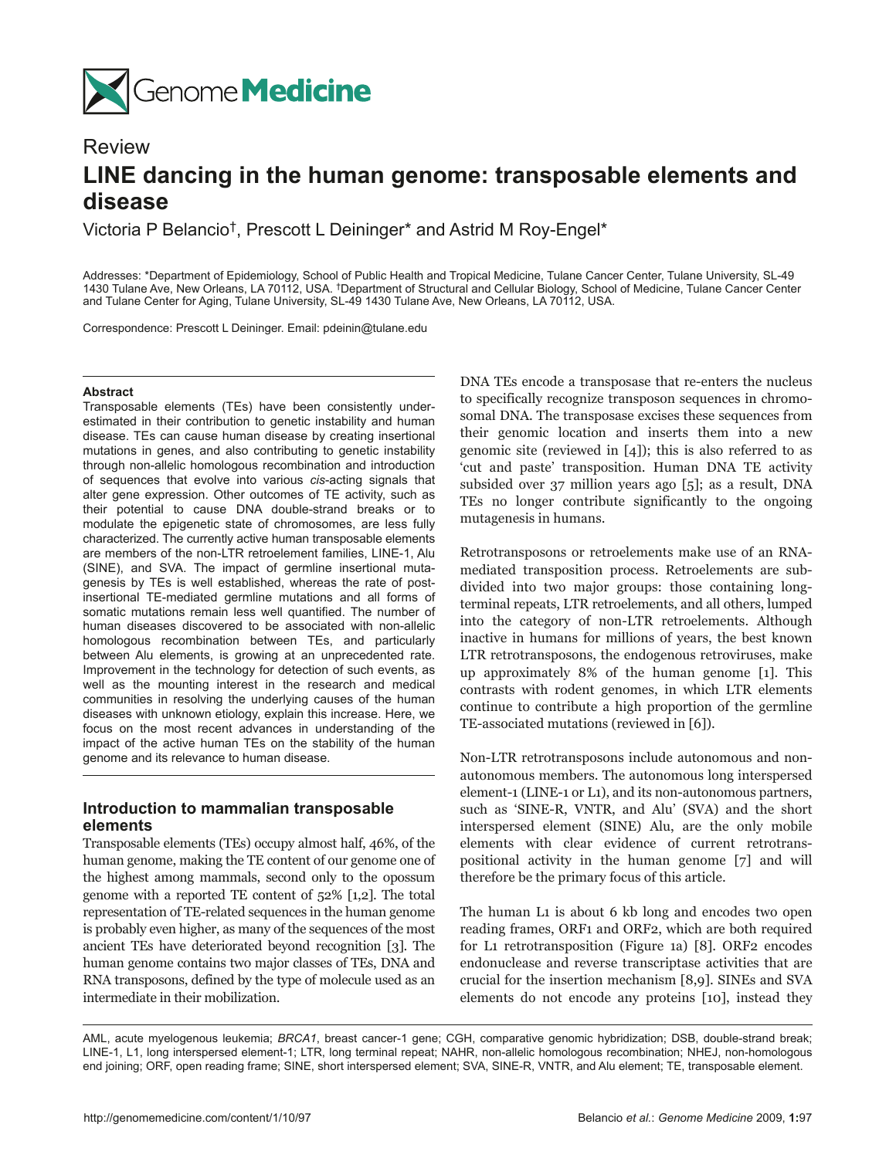

# Review **LINE dancing in the human genome: transposable elements and disease**

Victoria P Belancio†, Prescott L Deininger\* and Astrid M Roy-Engel\*

Addresses: \*Department of Epidemiology, School of Public Health and Tropical Medicine, Tulane Cancer Center, Tulane University, SL-49 1430 Tulane Ave, New Orleans, LA 70112, USA. †Department of Structural and Cellular Biology, School of Medicine, Tulane Cancer Center and Tulane Center for Aging, Tulane University, SL-49 1430 Tulane Ave, New Orleans, LA 70112, USA.

Correspondence: Prescott L Deininger. Email: pdeinin@tulane.edu

### **Abstract**

Transposable elements (TEs) have been consistently underestimated in their contribution to genetic instability and human disease. TEs can cause human disease by creating insertional mutations in genes, and also contributing to genetic instability through non-allelic homologous recombination and introduction of sequences that evolve into various *cis*-acting signals that alter gene expression. Other outcomes of TE activity, such as their potential to cause DNA double-strand breaks or to modulate the epigenetic state of chromosomes, are less fully characterized. The currently active human transposable elements are members of the non-LTR retroelement families, LINE-1, Alu (SINE), and SVA. The impact of germline insertional mutagenesis by TEs is well established, whereas the rate of postinsertional TE-mediated germline mutations and all forms of somatic mutations remain less well quantified. The number of human diseases discovered to be associated with non-allelic homologous recombination between TEs, and particularly between Alu elements, is growing at an unprecedented rate. Improvement in the technology for detection of such events, as well as the mounting interest in the research and medical communities in resolving the underlying causes of the human diseases with unknown etiology, explain this increase. Here, we focus on the most recent advances in understanding of the impact of the active human TEs on the stability of the human genome and its relevance to human disease.

# **Introduction to mammalian transposable elements**

Transposable elements (TEs) occupy almost half, 46%, of the human genome, making the TE content of our genome one of the highest among mammals, second only to the opossum genome with a reported TE content of 52% [1,2]. The total representation of TE-related sequences in the human genome is probably even higher, as many of the sequences of the most ancient TEs have deteriorated beyond recognition [3]. The human genome contains two major classes of TEs, DNA and RNA transposons, defined by the type of molecule used as an intermediate in their mobilization.

DNA TEs encode a transposase that re-enters the nucleus to specifically recognize transposon sequences in chromosomal DNA. The transposase excises these sequences from their genomic location and inserts them into a new genomic site (reviewed in [4]); this is also referred to as 'cut and paste' transposition. Human DNA TE activity subsided over 37 million years ago [5]; as a result, DNA TEs no longer contribute significantly to the ongoing mutagenesis in humans.

Retrotransposons or retroelements make use of an RNAmediated transposition process. Retroelements are subdivided into two major groups: those containing longterminal repeats, LTR retroelements, and all others, lumped into the category of non-LTR retroelements. Although inactive in humans for millions of years, the best known LTR retrotransposons, the endogenous retroviruses, make up approximately 8% of the human genome [1]. This contrasts with rodent genomes, in which LTR elements continue to contribute a high proportion of the germline TE-associated mutations (reviewed in [6]).

Non-LTR retrotransposons include autonomous and nonautonomous members. The autonomous long interspersed element-1 (LINE-1 or L1), and its non-autonomous partners, such as 'SINE-R, VNTR, and Alu' (SVA) and the short interspersed element (SINE) Alu, are the only mobile elements with clear evidence of current retrotranspositional activity in the human genome [7] and will therefore be the primary focus of this article.

The human L1 is about 6 kb long and encodes two open reading frames, ORF1 and ORF2, which are both required for L1 retrotransposition (Figure 1a) [8]. ORF2 encodes endonuclease and reverse transcriptase activities that are crucial for the insertion mechanism [8,9]. SINEs and SVA elements do not encode any proteins [10], instead they

AML, acute myelogenous leukemia; *BRCA1*, breast cancer-1 gene; CGH, comparative genomic hybridization; DSB, double-strand break; LINE-1, L1, long interspersed element-1; LTR, long terminal repeat; NAHR, non-allelic homologous recombination; NHEJ, non-homologous end joining; ORF, open reading frame; SINE, short interspersed element; SVA, SINE-R, VNTR, and Alu element; TE, transposable element.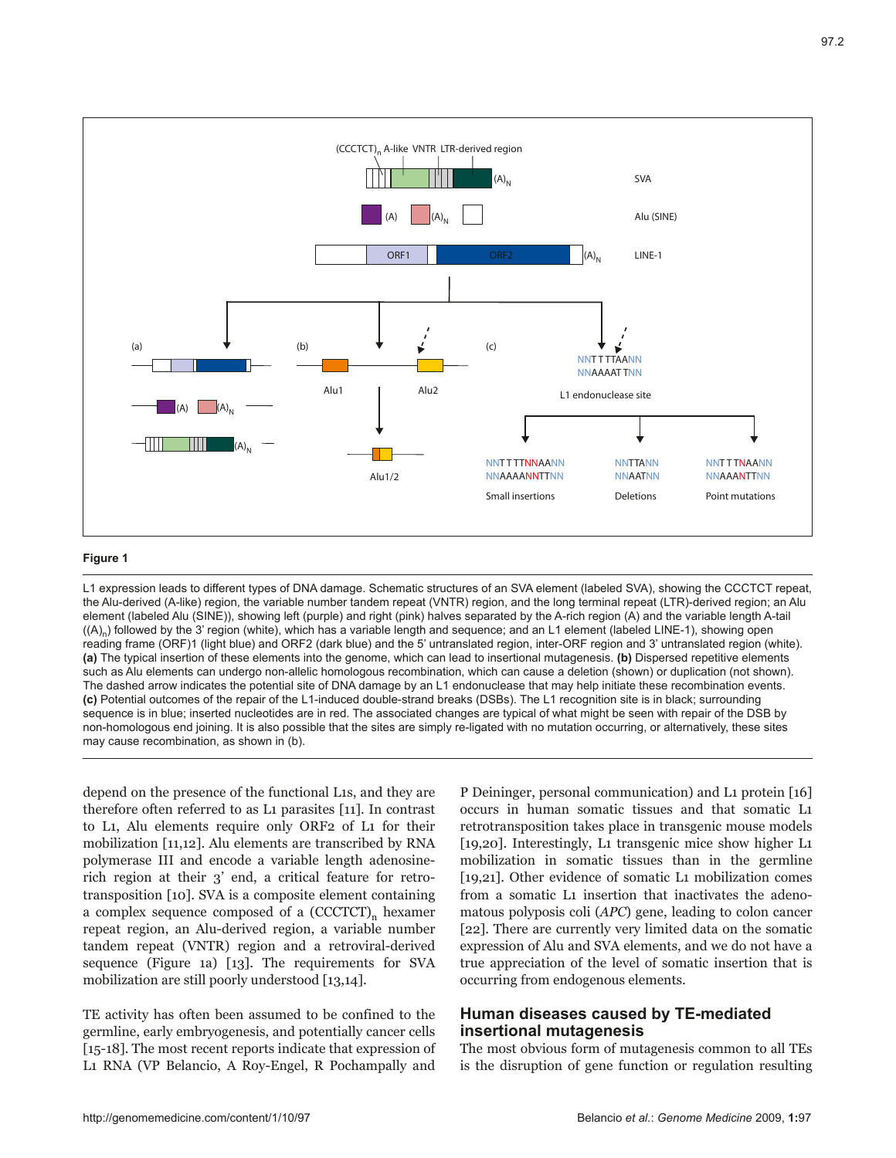

#### **Figure 1**

L1 expression leads to different types of DNA damage. Schematic structures of an SVA element (labeled SVA), showing the CCCTCT repeat, the Alu-derived (A-like) region, the variable number tandem repeat (VNTR) region, and the long terminal repeat (LTR)-derived region; an Alu element (labeled Alu (SINE)), showing left (purple) and right (pink) halves separated by the A-rich region (A) and the variable length A-tail  $((A)_n)$  followed by the 3' region (white), which has a variable length and sequence; and an L1 element (labeled LINE-1), showing open reading frame (ORF)1 (light blue) and ORF2 (dark blue) and the 5' untranslated region, inter-ORF region and 3' untranslated region (white). **(a)** The typical insertion of these elements into the genome, which can lead to insertional mutagenesis. **(b)** Dispersed repetitive elements such as Alu elements can undergo non-allelic homologous recombination, which can cause a deletion (shown) or duplication (not shown). The dashed arrow indicates the potential site of DNA damage by an L1 endonuclease that may help initiate these recombination events. **(c)** Potential outcomes of the repair of the L1-induced double-strand breaks (DSBs). The L1 recognition site is in black; surrounding sequence is in blue; inserted nucleotides are in red. The associated changes are typical of what might be seen with repair of the DSB by non-homologous end joining. It is also possible that the sites are simply re-ligated with no mutation occurring, or alternatively, these sites may cause recombination, as shown in (b).

depend on the presence of the functional L1s, and they are therefore often referred to as L1 parasites [11]. In contrast to L1, Alu elements require only ORF2 of L1 for their mobilization [11,12]. Alu elements are transcribed by RNA polymerase III and encode a variable length adenosinerich region at their 3' end, a critical feature for retrotransposition [10]. SVA is a composite element containing a complex sequence composed of a  $(CCCTCT)$ <sub>n</sub> hexamer repeat region, an Alu-derived region, a variable number tandem repeat (VNTR) region and a retroviral-derived sequence (Figure 1a) [13]. The requirements for SVA mobilization are still poorly understood [13,14].

TE activity has often been assumed to be confined to the germline, early embryogenesis, and potentially cancer cells [15-18]. The most recent reports indicate that expression of L1 RNA (VP Belancio, A Roy-Engel, R Pochampally and

P Deininger, personal communication) and L1 protein [16] occurs in human somatic tissues and that somatic L1 retrotransposition takes place in transgenic mouse models [19,20]. Interestingly, L1 transgenic mice show higher L1 mobilization in somatic tissues than in the germline [19,21]. Other evidence of somatic L1 mobilization comes from a somatic L1 insertion that inactivates the adenomatous polyposis coli (*APC*) gene, leading to colon cancer [22]. There are currently very limited data on the somatic expression of Alu and SVA elements, and we do not have a true appreciation of the level of somatic insertion that is occurring from endogenous elements.

# **Human diseases caused by TE-mediated insertional mutagenesis**

The most obvious form of mutagenesis common to all TEs is the disruption of gene function or regulation resulting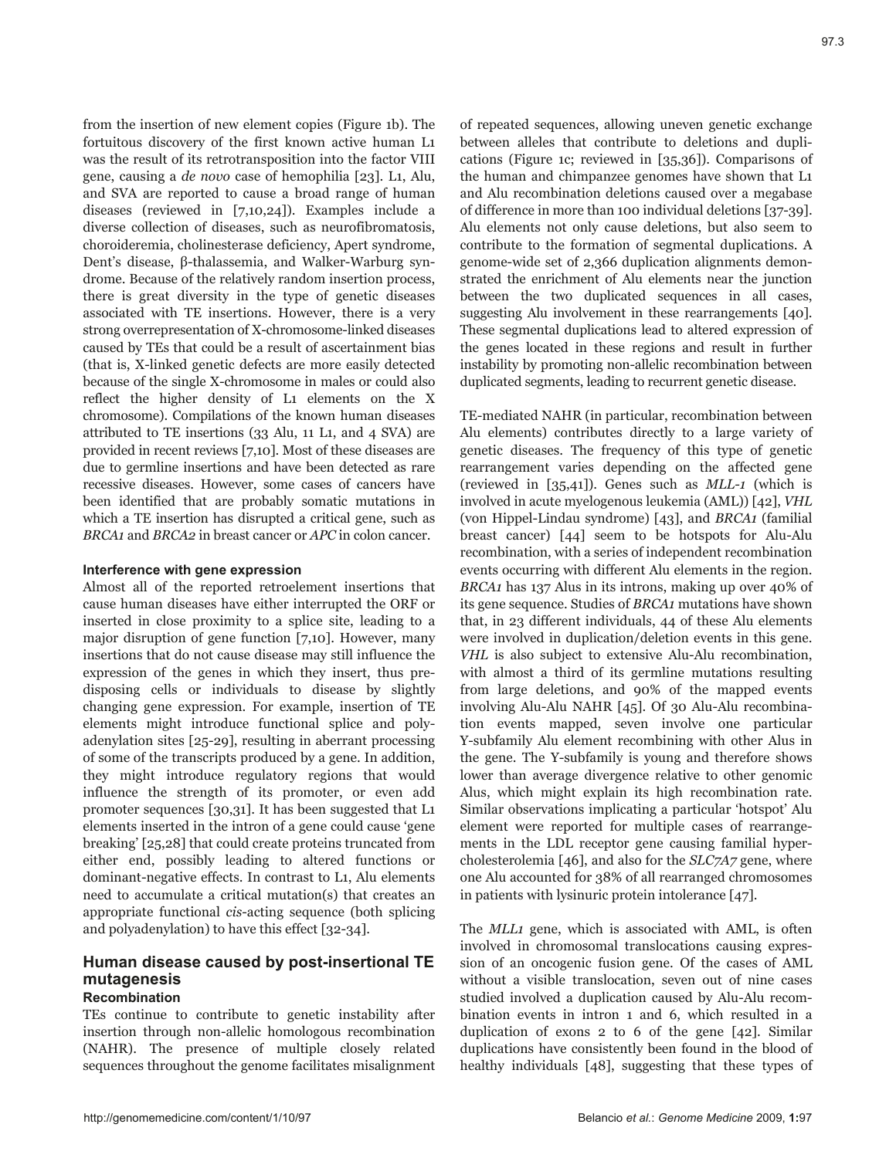from the insertion of new element copies (Figure 1b). The fortuitous discovery of the first known active human L1 was the result of its retrotransposition into the factor VIII gene, causing a *de novo* case of hemophilia [23]. L1, Alu, and SVA are reported to cause a broad range of human diseases (reviewed in [7,10,24]). Examples include a diverse collection of diseases, such as neurofibromatosis, choroideremia, cholinesterase deficiency, Apert syndrome, Dent's disease, β-thalassemia, and Walker-Warburg syndrome. Because of the relatively random insertion process, there is great diversity in the type of genetic diseases associated with TE insertions. However, there is a very strong overrepresentation of X-chromosome-linked diseases caused by TEs that could be a result of ascertainment bias (that is, X-linked genetic defects are more easily detected because of the single X-chromosome in males or could also reflect the higher density of L1 elements on the X chromosome). Compilations of the known human diseases attributed to TE insertions (33 Alu, 11 L1, and 4 SVA) are provided in recent reviews [7,10]. Most of these diseases are due to germline insertions and have been detected as rare recessive diseases. However, some cases of cancers have been identified that are probably somatic mutations in which a TE insertion has disrupted a critical gene, such as *BRCA1* and *BRCA2* in breast cancer or *APC* in colon cancer.

### **Interference with gene expression**

Almost all of the reported retroelement insertions that cause human diseases have either interrupted the ORF or inserted in close proximity to a splice site, leading to a major disruption of gene function [7,10]. However, many insertions that do not cause disease may still influence the expression of the genes in which they insert, thus predisposing cells or individuals to disease by slightly changing gene expression. For example, insertion of TE elements might introduce functional splice and polyadenylation sites [25-29], resulting in aberrant processing of some of the transcripts produced by a gene. In addition, they might introduce regulatory regions that would influence the strength of its promoter, or even add promoter sequences [30,31]. It has been suggested that L1 elements inserted in the intron of a gene could cause 'gene breaking' [25,28] that could create proteins truncated from either end, possibly leading to altered functions or dominant-negative effects. In contrast to L1, Alu elements need to accumulate a critical mutation(s) that creates an appropriate functional *cis*-acting sequence (both splicing and polyadenylation) to have this effect [32-34].

# **Human disease caused by post-insertional TE mutagenesis**

# **Recombination**

TEs continue to contribute to genetic instability after insertion through non-allelic homologous recombination (NAHR). The presence of multiple closely related sequences throughout the genome facilitates misalignment of repeated sequences, allowing uneven genetic exchange between alleles that contribute to deletions and duplications (Figure 1c; reviewed in [35,36]). Comparisons of the human and chimpanzee genomes have shown that L1 and Alu recombination deletions caused over a megabase of difference in more than 100 individual deletions [37-39]. Alu elements not only cause deletions, but also seem to contribute to the formation of segmental duplications. A genome-wide set of 2,366 duplication alignments demonstrated the enrichment of Alu elements near the junction between the two duplicated sequences in all cases, suggesting Alu involvement in these rearrangements [40]. These segmental duplications lead to altered expression of the genes located in these regions and result in further instability by promoting non-allelic recombination between duplicated segments, leading to recurrent genetic disease.

TE-mediated NAHR (in particular, recombination between Alu elements) contributes directly to a large variety of genetic diseases. The frequency of this type of genetic rearrangement varies depending on the affected gene (reviewed in [35,41]). Genes such as *MLL-1* (which is involved in acute myelogenous leukemia (AML)) [42], *VHL* (von Hippel-Lindau syndrome) [43], and *BRCA1* (familial breast cancer) [44] seem to be hotspots for Alu-Alu recombination, with a series of independent recombination events occurring with different Alu elements in the region. *BRCA1* has 137 Alus in its introns, making up over 40% of its gene sequence. Studies of *BRCA1* mutations have shown that, in 23 different individuals, 44 of these Alu elements were involved in duplication/deletion events in this gene. *VHL* is also subject to extensive Alu-Alu recombination, with almost a third of its germline mutations resulting from large deletions, and 90% of the mapped events involving Alu-Alu NAHR [45]. Of 30 Alu-Alu recombination events mapped, seven involve one particular Y-subfamily Alu element recombining with other Alus in the gene. The Y-subfamily is young and therefore shows lower than average divergence relative to other genomic Alus, which might explain its high recombination rate. Similar observations implicating a particular 'hotspot' Alu element were reported for multiple cases of rearrangements in the LDL receptor gene causing familial hypercholesterolemia [46], and also for the *SLC7A7* gene, where one Alu accounted for 38% of all rearranged chromosomes in patients with lysinuric protein intolerance [47].

The *MLL1* gene, which is associated with AML, is often involved in chromosomal translocations causing expression of an oncogenic fusion gene. Of the cases of AML without a visible translocation, seven out of nine cases studied involved a duplication caused by Alu-Alu recombination events in intron 1 and 6, which resulted in a duplication of exons 2 to 6 of the gene [42]. Similar duplications have consistently been found in the blood of healthy individuals [48], suggesting that these types of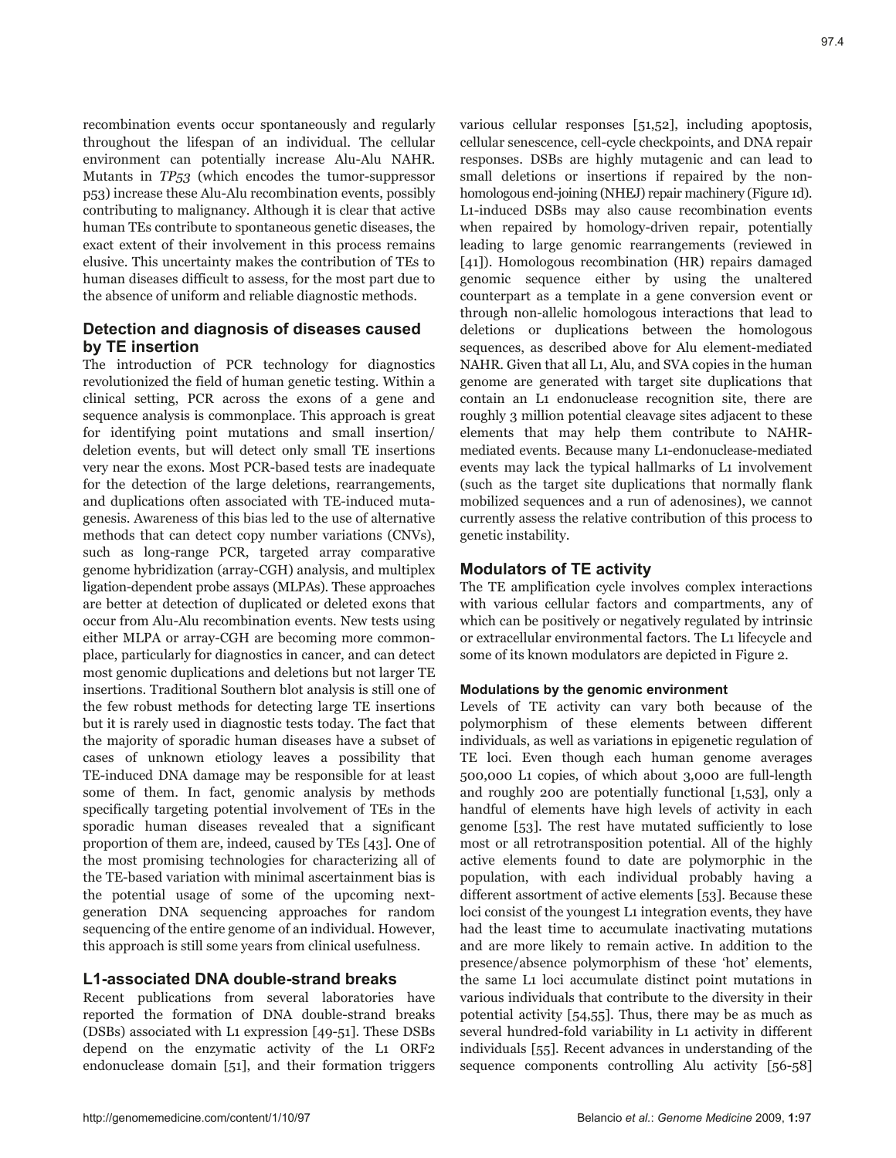recombination events occur spontaneously and regularly throughout the lifespan of an individual. The cellular environment can potentially increase Alu-Alu NAHR. Mutants in *TP53* (which encodes the tumor-suppressor p53) increase these Alu-Alu recombination events, possibly contributing to malignancy. Although it is clear that active human TEs contribute to spontaneous genetic diseases, the exact extent of their involvement in this process remains elusive. This uncertainty makes the contribution of TEs to human diseases difficult to assess, for the most part due to the absence of uniform and reliable diagnostic methods.

# **Detection and diagnosis of diseases caused by TE insertion**

The introduction of PCR technology for diagnostics revolutionized the field of human genetic testing. Within a clinical setting, PCR across the exons of a gene and sequence analysis is commonplace. This approach is great for identifying point mutations and small insertion/ deletion events, but will detect only small TE insertions very near the exons. Most PCR-based tests are inadequate for the detection of the large deletions, rearrangements, and duplications often associated with TE-induced mutagenesis. Awareness of this bias led to the use of alternative methods that can detect copy number variations (CNVs), such as long-range PCR, targeted array comparative genome hybridization (array-CGH) analysis, and multiplex ligation-dependent probe assays (MLPAs). These approaches are better at detection of duplicated or deleted exons that occur from Alu-Alu recombination events. New tests using either MLPA or array-CGH are becoming more commonplace, particularly for diagnostics in cancer, and can detect most genomic duplications and deletions but not larger TE insertions. Traditional Southern blot analysis is still one of the few robust methods for detecting large TE insertions but it is rarely used in diagnostic tests today. The fact that the majority of sporadic human diseases have a subset of cases of unknown etiology leaves a possibility that TE-induced DNA damage may be responsible for at least some of them. In fact, genomic analysis by methods specifically targeting potential involvement of TEs in the sporadic human diseases revealed that a significant proportion of them are, indeed, caused by TEs [43]. One of the most promising technologies for characterizing all of the TE-based variation with minimal ascertainment bias is the potential usage of some of the upcoming nextgeneration DNA sequencing approaches for random sequencing of the entire genome of an individual. However, this approach is still some years from clinical usefulness.

# **L1-associated DNA double-strand breaks**

Recent publications from several laboratories have reported the formation of DNA double-strand breaks (DSBs) associated with L1 expression [49-51]. These DSBs depend on the enzymatic activity of the L1 ORF2 endonuclease domain [51], and their formation triggers

various cellular responses [51,52], including apoptosis, cellular senescence, cell-cycle checkpoints, and DNA repair responses. DSBs are highly mutagenic and can lead to small deletions or insertions if repaired by the nonhomologous end-joining (NHEJ) repair machinery (Figure 1d). L1-induced DSBs may also cause recombination events when repaired by homology-driven repair, potentially leading to large genomic rearrangements (reviewed in [41]). Homologous recombination (HR) repairs damaged genomic sequence either by using the unaltered counterpart as a template in a gene conversion event or through non-allelic homologous interactions that lead to deletions or duplications between the homologous sequences, as described above for Alu element-mediated NAHR. Given that all L1, Alu, and SVA copies in the human genome are generated with target site duplications that contain an L1 endonuclease recognition site, there are roughly 3 million potential cleavage sites adjacent to these elements that may help them contribute to NAHRmediated events. Because many L1-endonuclease-mediated events may lack the typical hallmarks of L1 involvement (such as the target site duplications that normally flank mobilized sequences and a run of adenosines), we cannot currently assess the relative contribution of this process to genetic instability.

# **Modulators of TE activity**

The TE amplification cycle involves complex interactions with various cellular factors and compartments, any of which can be positively or negatively regulated by intrinsic or extracellular environmental factors. The L1 lifecycle and some of its known modulators are depicted in Figure 2.

# **Modulations by the genomic environment**

Levels of TE activity can vary both because of the polymorphism of these elements between different individuals, as well as variations in epigenetic regulation of TE loci. Even though each human genome averages 500,000 L1 copies, of which about 3,000 are full-length and roughly 200 are potentially functional [1,53], only a handful of elements have high levels of activity in each genome [53]. The rest have mutated sufficiently to lose most or all retrotransposition potential. All of the highly active elements found to date are polymorphic in the population, with each individual probably having a different assortment of active elements [53]. Because these loci consist of the youngest L1 integration events, they have had the least time to accumulate inactivating mutations and are more likely to remain active. In addition to the presence/absence polymorphism of these 'hot' elements, the same L1 loci accumulate distinct point mutations in various individuals that contribute to the diversity in their potential activity [54,55]. Thus, there may be as much as several hundred-fold variability in L1 activity in different individuals [55]. Recent advances in understanding of the sequence components controlling Alu activity [56-58]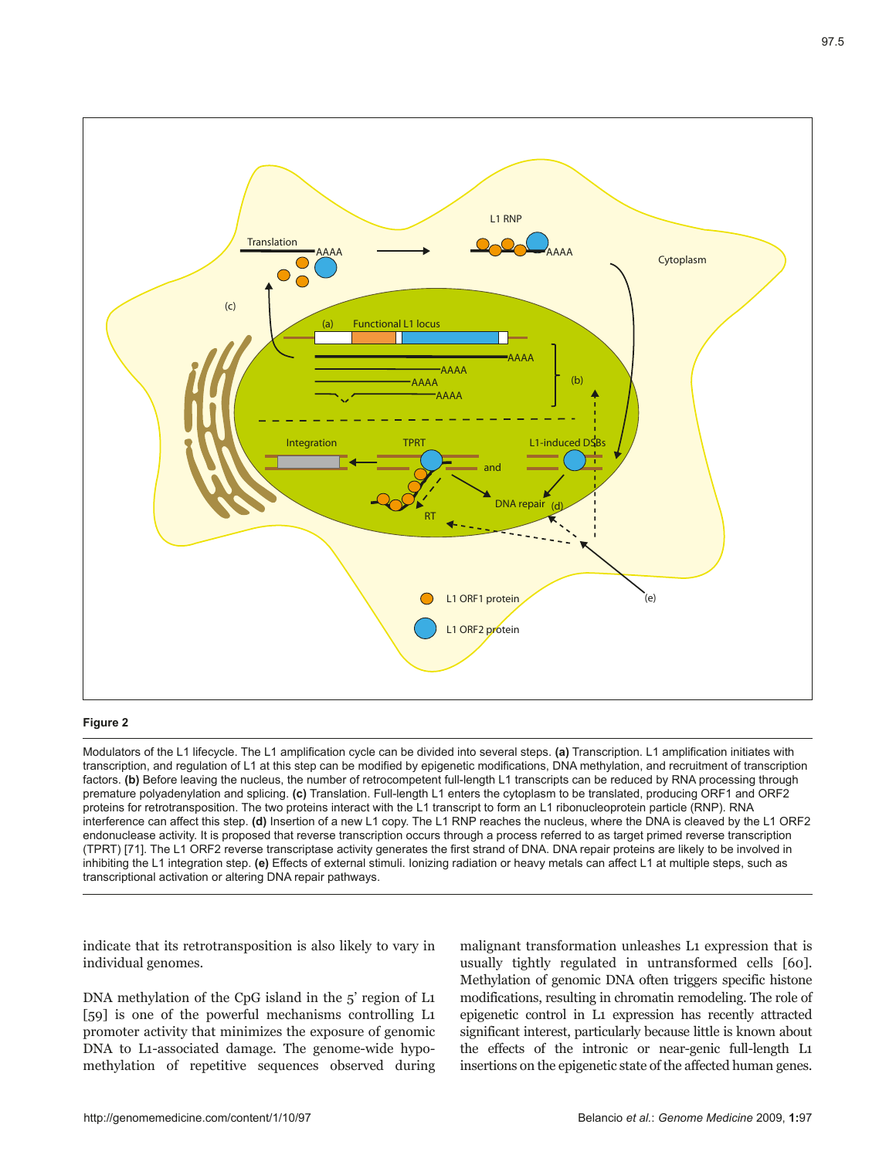

### **Figure 2**

Modulators of the L1 lifecycle. The L1 amplification cycle can be divided into several steps. **(a)** Transcription. L1 amplification initiates with transcription, and regulation of L1 at this step can be modified by epigenetic modifications, DNA methylation, and recruitment of transcription factors. (b) Before leaving the nucleus, the number of retrocompetent full-length L1 transcripts can be reduced by RNA processing through premature polyadenylation and splicing. **(c)** Translation. Full-length L1 enters the cytoplasm to be translated, producing ORF1 and ORF2 proteins for retrotransposition. The two proteins interact with the L1 transcript to form an L1 ribonucleoprotein particle (RNP). RNA interference can affect this step. **(d)** Insertion of a new L1 copy. The L1 RNP reaches the nucleus, where the DNA is cleaved by the L1 ORF2 endonuclease activity. It is proposed that reverse transcription occurs through a process referred to as target primed reverse transcription (TPRT) [71]. The L1 ORF2 reverse transcriptase activity generates the first strand of DNA. DNA repair proteins are likely to be involved in inhibiting the L1 integration step. **(e)** Effects of external stimuli. Ionizing radiation or heavy metals can affect L1 at multiple steps, such as transcriptional activation or altering DNA repair pathways.

indicate that its retrotransposition is also likely to vary in individual genomes.

DNA methylation of the CpG island in the 5' region of L1 [59] is one of the powerful mechanisms controlling L1 promoter activity that minimizes the exposure of genomic DNA to L1-associated damage. The genome-wide hypomethylation of repetitive sequences observed during malignant transformation unleashes L1 expression that is usually tightly regulated in untransformed cells [60]. Methylation of genomic DNA often triggers specific histone modifications, resulting in chromatin remodeling. The role of epigenetic control in L1 expression has recently attracted significant interest, particularly because little is known about the effects of the intronic or near-genic full-length L1 insertions on the epigenetic state of the affected human genes.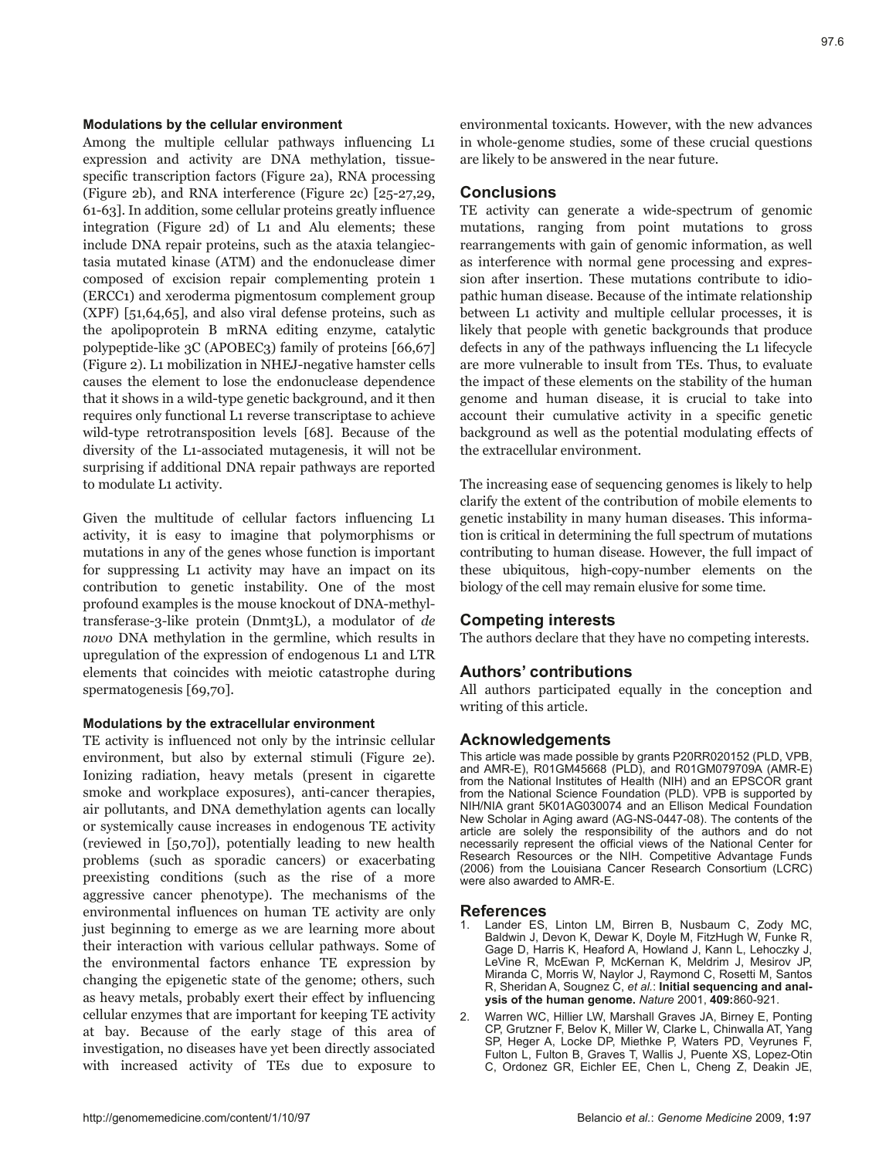### **Modulations by the cellular environment**

Among the multiple cellular pathways influencing L1 expression and activity are DNA methylation, tissuespecific transcription factors (Figure 2a), RNA processing (Figure 2b), and RNA interference (Figure 2c) [25-27,29, 61-63]. In addition, some cellular proteins greatly influence integration (Figure 2d) of L1 and Alu elements; these include DNA repair proteins, such as the ataxia telangiectasia mutated kinase (ATM) and the endonuclease dimer composed of excision repair complementing protein 1 (ERCC1) and xeroderma pigmentosum complement group (XPF) [51,64,65], and also viral defense proteins, such as the apolipoprotein B mRNA editing enzyme, catalytic polypeptide-like 3C (APOBEC3) family of proteins [66,67] (Figure 2). L1 mobilization in NHEJ-negative hamster cells causes the element to lose the endonuclease dependence that it shows in a wild-type genetic background, and it then requires only functional L1 reverse transcriptase to achieve wild-type retrotransposition levels [68]. Because of the diversity of the L1-associated mutagenesis, it will not be surprising if additional DNA repair pathways are reported to modulate L1 activity.

Given the multitude of cellular factors influencing L1 activity, it is easy to imagine that polymorphisms or mutations in any of the genes whose function is important for suppressing L1 activity may have an impact on its contribution to genetic instability. One of the most profound examples is the mouse knockout of DNA-methyltransferase-3-like protein (Dnmt3L), a modulator of *de novo* DNA methylation in the germline, which results in upregulation of the expression of endogenous L1 and LTR elements that coincides with meiotic catastrophe during spermatogenesis [69,70].

### **Modulations by the extracellular environment**

TE activity is influenced not only by the intrinsic cellular environment, but also by external stimuli (Figure 2e). Ionizing radiation, heavy metals (present in cigarette smoke and workplace exposures), anti-cancer therapies, air pollutants, and DNA demethylation agents can locally or systemically cause increases in endogenous TE activity (reviewed in [50,70]), potentially leading to new health problems (such as sporadic cancers) or exacerbating preexisting conditions (such as the rise of a more aggressive cancer phenotype). The mechanisms of the environmental influences on human TE activity are only just beginning to emerge as we are learning more about their interaction with various cellular pathways. Some of the environmental factors enhance TE expression by changing the epigenetic state of the genome; others, such as heavy metals, probably exert their effect by influencing cellular enzymes that are important for keeping TE activity at bay. Because of the early stage of this area of investigation, no diseases have yet been directly associated with increased activity of TEs due to exposure to

environmental toxicants. However, with the new advances in whole-genome studies, some of these crucial questions are likely to be answered in the near future.

### **Conclusions**

TE activity can generate a wide-spectrum of genomic mutations, ranging from point mutations to gross rearrangements with gain of genomic information, as well as interference with normal gene processing and expression after insertion. These mutations contribute to idiopathic human disease. Because of the intimate relationship between L1 activity and multiple cellular processes, it is likely that people with genetic backgrounds that produce defects in any of the pathways influencing the L1 lifecycle are more vulnerable to insult from TEs. Thus, to evaluate the impact of these elements on the stability of the human genome and human disease, it is crucial to take into account their cumulative activity in a specific genetic background as well as the potential modulating effects of the extracellular environment.

The increasing ease of sequencing genomes is likely to help clarify the extent of the contribution of mobile elements to genetic instability in many human diseases. This information is critical in determining the full spectrum of mutations contributing to human disease. However, the full impact of these ubiquitous, high-copy-number elements on the biology of the cell may remain elusive for some time.

### **Competing interests**

The authors declare that they have no competing interests.

# **Authors' contributions**

All authors participated equally in the conception and writing of this article.

# **Acknowledgements**

This article was made possible by grants P20RR020152 (PLD, VPB, and AMR-E), R01GM45668 (PLD), and R01GM079709A (AMR-E) from the National Institutes of Health (NIH) and an EPSCOR grant from the National Science Foundation (PLD). VPB is supported by NIH/NIA grant 5K01AG030074 and an Ellison Medical Foundation New Scholar in Aging award (AG-NS-0447-08). The contents of the article are solely the responsibility of the authors and do not necessarily represent the official views of the National Center for Research Resources or the NIH. Competitive Advantage Funds (2006) from the Louisiana Cancer Research Consortium (LCRC) were also awarded to AMR-E.

### **References**

- Lander ES, Linton LM, Birren B, Nusbaum C, Zody MC, Baldwin J, Devon K, Dewar K, Doyle M, FitzHugh W, Funke R, Gage D, Harris K, Heaford A, Howland J, Kann L, Lehoczky J, LeVine R, McEwan P, McKernan K, Meldrim J, Mesirov JP, Miranda C, Morris W, Naylor J, Raymond C, Rosetti M, Santos R, Sheridan A, Sougnez C, *et al.*: **Initial sequencing and analysis of the human genome.** *Nature* 2001, **409:**860-921.
- 2. Warren WC, Hillier LW, Marshall Graves JA, Birney E, Ponting CP, Grutzner F, Belov K, Miller W, Clarke L, Chinwalla AT, Yang SP, Heger A, Locke DP, Miethke P, Waters PD, Veyrunes F, Fulton L, Fulton B, Graves T, Wallis J, Puente XS, Lopez-Otin C, Ordonez GR, Eichler EE, Chen L, Cheng Z, Deakin JE,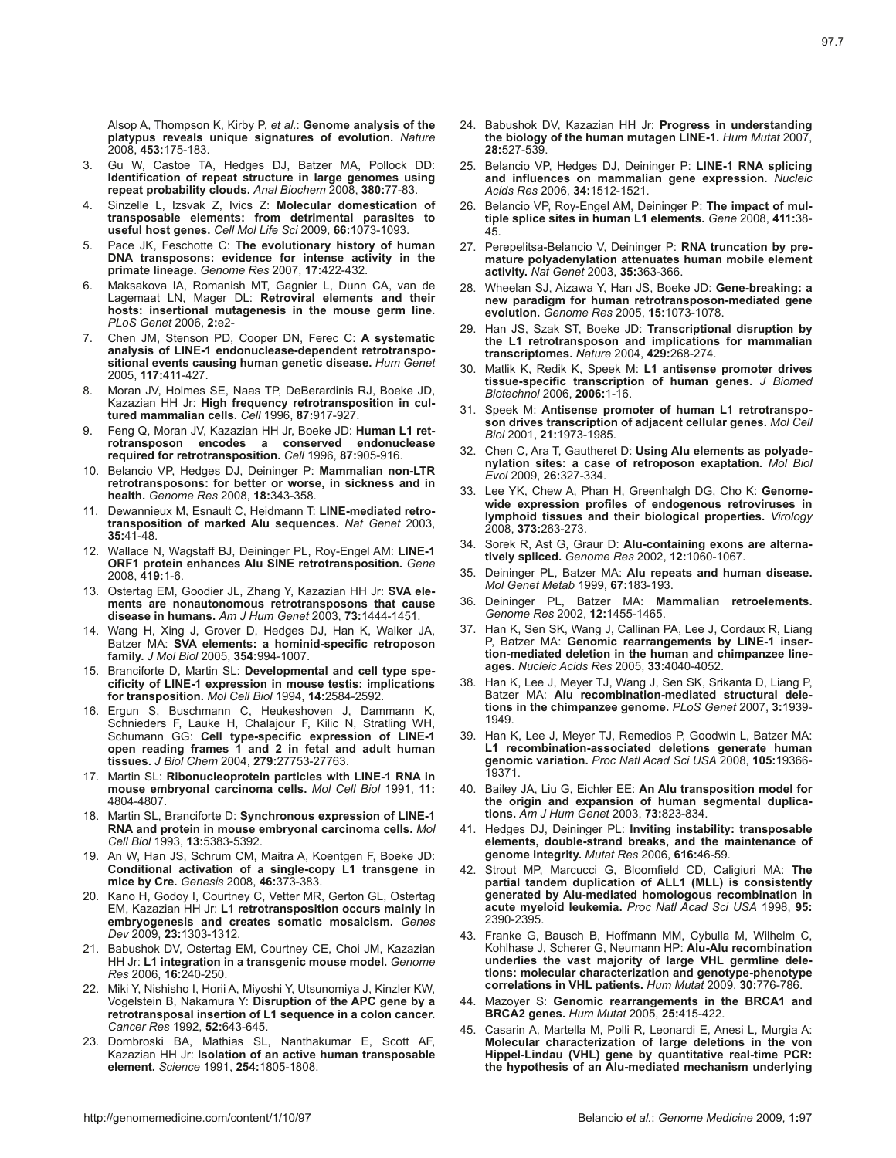Alsop A, Thompson K, Kirby P, *et al.*: **Genome analysis of the platypus reveals unique signatures of evolution.** *Nature* 2008, **453:**175-183.

- 3. Gu W, Castoe TA, Hedges DJ, Batzer MA, Pollock DD: **Identification of repeat structure in large genomes using repeat probability clouds.** *Anal Biochem* 2008, **380:**77-83.
- 4. Sinzelle L, Izsvak Z, Ivics Z: **Molecular domestication of transposable elements: from detrimental parasites to useful host genes.** *Cell Mol Life Sci* 2009, **66:**1073-1093.
- 5. Pace JK, Feschotte C: **The evolutionary history of human DNA transposons: evidence for intense activity in the primate lineage.** *Genome Res* 2007, **17:**422-432.
- 6. Maksakova IA, Romanish MT, Gagnier L, Dunn CA, van de Lagemaat LN, Mager DL: **Retroviral elements and their hosts: insertional mutagenesis in the mouse germ line.**  *PLoS Genet* 2006, **2:**e2-
- 7. Chen JM, Stenson PD, Cooper DN, Ferec C: **A systematic analysis of LINE-1 endonuclease-dependent retrotranspositional events causing human genetic disease.** *Hum Genet* 2005, **117:**411-427.
- 8. Moran JV, Holmes SE, Naas TP, DeBerardinis RJ, Boeke JD, Kazazian HH Jr: **High frequency retrotransposition in cultured mammalian cells.** *Cell* 1996, **87:**917-927.
- 9. Feng Q, Moran JV, Kazazian HH Jr, Boeke JD: **Human L1 retrotransposon encodes a conserved endonuclease required for retrotransposition.** *Cell* 1996, **87:**905-916.
- 10. Belancio VP, Hedges DJ, Deininger P: **Mammalian non-LTR retrotransposons: for better or worse, in sickness and in health.** *Genome Res* 2008, **18:**343-358.
- 11. Dewannieux M, Esnault C, Heidmann T: **LINE-mediated retrotransposition of marked Alu sequences.** *Nat Genet* 2003, **35:**41-48.
- 12. Wallace N, Wagstaff BJ, Deininger PL, Roy-Engel AM: **LINE-1 ORF1 protein enhances Alu SINE retrotransposition.** *Gene* 2008, **419:**1-6.
- 13. Ostertag EM, Goodier JL, Zhang Y, Kazazian HH Jr: **SVA elements are nonautonomous retrotransposons that cause disease in humans.** *Am J Hum Genet* 2003, **73:**1444-1451.
- 14. Wang H, Xing J, Grover D, Hedges DJ, Han K, Walker JA, Batzer MA: **SVA elements: a hominid-specific retroposon family.** *J Mol Biol* 2005, **354:**994-1007.
- 15. Branciforte D, Martin SL: **Developmental and cell type specificity of LINE-1 expression in mouse testis: implications for transposition.** *Mol Cell Biol* 1994, **14:**2584-2592.
- 16. Ergun S, Buschmann C, Heukeshoven J, Dammann K, Schnieders F, Lauke H, Chalajour F, Kilic N, Stratling WH, Schumann GG: **Cell type-specific expression of LINE-1 open reading frames 1 and 2 in fetal and adult human tissues.** *J Biol Chem* 2004, **279:**27753-27763.
- 17. Martin SL: **Ribonucleoprotein particles with LINE-1 RNA in mouse embryonal carcinoma cells.** *Mol Cell Biol* 1991, **11:** 4804-4807.
- 18. Martin SL, Branciforte D: **Synchronous expression of LINE-1 RNA and protein in mouse embryonal carcinoma cells.** *Mol Cell Biol* 1993, **13:**5383-5392.
- 19. An W, Han JS, Schrum CM, Maitra A, Koentgen F, Boeke JD: **Conditional activation of a single-copy L1 transgene in mice by Cre.** *Genesis* 2008, **46:**373-383.
- 20. Kano H, Godoy I, Courtney C, Vetter MR, Gerton GL, Ostertag EM, Kazazian HH Jr: **L1 retrotransposition occurs mainly in embryogenesis and creates somatic mosaicism.** *Genes Dev* 2009, **23:**1303-1312.
- 21. Babushok DV, Ostertag EM, Courtney CE, Choi JM, Kazazian HH Jr: **L1 integration in a transgenic mouse model.** *Genome Res* 2006, **16:**240-250.
- 22. Miki Y, Nishisho I, Horii A, Miyoshi Y, Utsunomiya J, Kinzler KW, Vogelstein B, Nakamura Y: **Disruption of the APC gene by a retrotransposal insertion of L1 sequence in a colon cancer.**  *Cancer Res* 1992, **52:**643-645.
- 23. Dombroski BA, Mathias SL, Nanthakumar E, Scott AF, Kazazian HH Jr: **Isolation of an active human transposable element.** *Science* 1991, **254:**1805-1808.
- 24. Babushok DV, Kazazian HH Jr: **Progress in understanding the biology of the human mutagen LINE-1.** *Hum Mutat* 2007, **28:**527-539.
- 25. Belancio VP, Hedges DJ, Deininger P: **LINE-1 RNA splicing and influences on mammalian gene expression.** *Nucleic Acids Res* 2006, **34:**1512-1521.
- 26. Belancio VP, Roy-Engel AM, Deininger P: **The impact of multiple splice sites in human L1 elements.** *Gene* 2008, **411:**38-45.
- 27. Perepelitsa-Belancio V, Deininger P: **RNA truncation by premature polyadenylation attenuates human mobile element activity.** *Nat Genet* 2003, **35:**363-366.
- 28. Wheelan SJ, Aizawa Y, Han JS, Boeke JD: **Gene-breaking: a new paradigm for human retrotransposon-mediated gene evolution.** *Genome Res* 2005, **15:**1073-1078.
- 29. Han JS, Szak ST, Boeke JD: **Transcriptional disruption by the L1 retrotransposon and implications for mammalian transcriptomes.** *Nature* 2004, **429:**268-274.
- 30. Matlik K, Redik K, Speek M: **L1 antisense promoter drives tissue-specific transcription of human genes.** *J Biomed Biotechnol* 2006, **2006:**1-16.
- 31. Speek M: **Antisense promoter of human L1 retrotransposon drives transcription of adjacent cellular genes.** *Mol Cell Biol* 2001, **21:**1973-1985.
- 32. Chen C, Ara T, Gautheret D: **Using Alu elements as polyadenylation sites: a case of retroposon exaptation.** *Mol Biol Evol* 2009, **26:**327-334.
- 33. Lee YK, Chew A, Phan H, Greenhalgh DG, Cho K: **Genomewide expression profiles of endogenous retroviruses in lymphoid tissues and their biological properties.** *Virology* 2008, **373:**263-273.
- 34. Sorek R, Ast G, Graur D: **Alu-containing exons are alternatively spliced.** *Genome Res* 2002, **12:**1060-1067.
- 35. Deininger PL, Batzer MA: **Alu repeats and human disease.**  *Mol Genet Metab* 1999, **67:**183-193.
- 36. Deininger PL, Batzer MA: **Mammalian retroelements.**  *Genome Res* 2002, **12:**1455-1465.
- 37. Han K, Sen SK, Wang J, Callinan PA, Lee J, Cordaux R, Liang P, Batzer MA: **Genomic rearrangements by LINE-1 insertion-mediated deletion in the human and chimpanzee lineages.** *Nucleic Acids Res* 2005, **33:**4040-4052.
- 38. Han K, Lee J, Meyer TJ, Wang J, Sen SK, Srikanta D, Liang P, Batzer MA: **Alu recombination-mediated structural deletions in the chimpanzee genome.** *PLoS Genet* 2007, **3:**1939-1949.
- 39. Han K, Lee J, Meyer TJ, Remedios P, Goodwin L, Batzer MA: **L1 recombination-associated deletions generate human genomic variation.** *Proc Natl Acad Sci USA* 2008, **105:**19366-19371.
- 40. Bailey JA, Liu G, Eichler EE: **An Alu transposition model for the origin and expansion of human segmental duplications.** *Am J Hum Genet* 2003, **73:**823-834.
- 41. Hedges DJ, Deininger PL: **Inviting instability: transposable elements, double-strand breaks, and the maintenance of genome integrity.** *Mutat Res* 2006, **616:**46-59.
- 42. Strout MP, Marcucci G, Bloomfield CD, Caligiuri MA: **The partial tandem duplication of ALL1 (MLL) is consistently generated by Alu-mediated homologous recombination in acute myeloid leukemia.** *Proc Natl Acad Sci USA* 1998, **95:** 2390-2395.
- 43. Franke G, Bausch B, Hoffmann MM, Cybulla M, Wilhelm C, Kohlhase J, Scherer G, Neumann HP: **Alu-Alu recombination underlies the vast majority of large VHL germline deletions: molecular characterization and genotype-phenotype correlations in VHL patients.** *Hum Mutat* 2009, **30:**776-786.
- 44. Mazoyer S: **Genomic rearrangements in the BRCA1 and BRCA2 genes.** *Hum Mutat* 2005, **25:**415-422.
- 45. Casarin A, Martella M, Polli R, Leonardi E, Anesi L, Murgia A: **Molecular characterization of large deletions in the von Hippel-Lindau (VHL) gene by quantitative real-time PCR: the hypothesis of an Alu-mediated mechanism underlying**